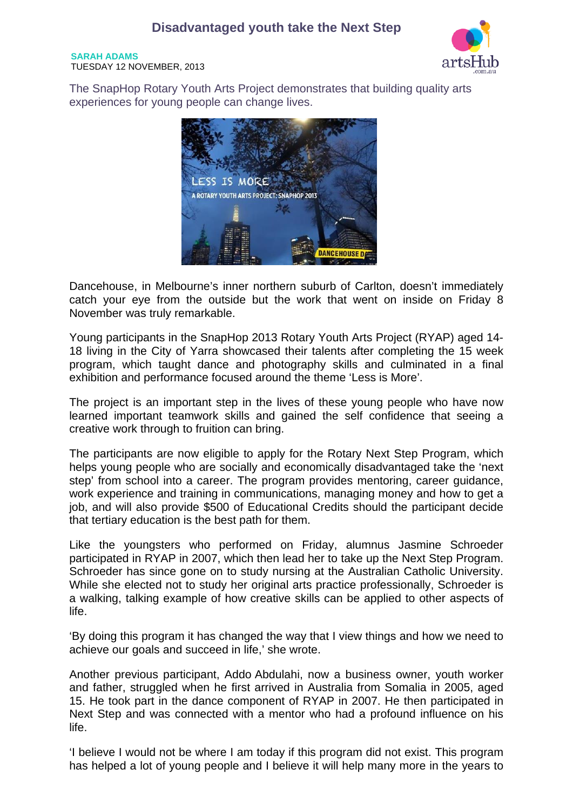**SARAH ADAMS**  TUESDAY 12 NOVEMBER, 2013



The SnapHop Rotary Youth Arts Project demonstrates that building quality arts experiences for young people can change lives.



Dancehouse, in Melbourne's inner northern suburb of Carlton, doesn't immediately catch your eye from the outside but the work that went on inside on Friday 8 November was truly remarkable.

Young participants in the SnapHop 2013 Rotary Youth Arts Project (RYAP) aged 14- 18 living in the City of Yarra showcased their talents after completing the 15 week program, which taught dance and photography skills and culminated in a final exhibition and performance focused around the theme 'Less is More'.

The project is an important step in the lives of these young people who have now learned important teamwork skills and gained the self confidence that seeing a creative work through to fruition can bring.

The participants are now eligible to apply for the Rotary Next Step Program, which helps young people who are socially and economically disadvantaged take the 'next step' from school into a career. The program provides mentoring, career guidance, work experience and training in communications, managing money and how to get a job, and will also provide \$500 of Educational Credits should the participant decide that tertiary education is the best path for them.

Like the youngsters who performed on Friday, alumnus Jasmine Schroeder participated in RYAP in 2007, which then lead her to take up the Next Step Program. Schroeder has since gone on to study nursing at the Australian Catholic University. While she elected not to study her original arts practice professionally. Schroeder is a walking, talking example of how creative skills can be applied to other aspects of life.

'By doing this program it has changed the way that I view things and how we need to achieve our goals and succeed in life,' she wrote.

Another previous participant, Addo Abdulahi, now a business owner, youth worker and father, struggled when he first arrived in Australia from Somalia in 2005, aged 15. He took part in the dance component of RYAP in 2007. He then participated in Next Step and was connected with a mentor who had a profound influence on his life.

'I believe I would not be where I am today if this program did not exist. This program has helped a lot of young people and I believe it will help many more in the years to